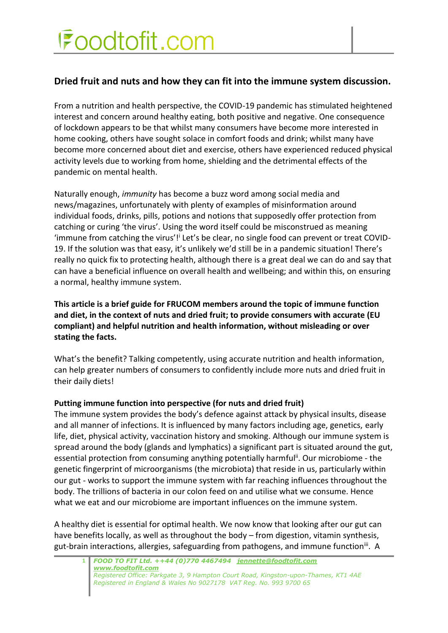## Foodtofit.com

### **Dried fruit and nuts and how they can fit into the immune system discussion.**

From a nutrition and health perspective, the COVID-19 pandemic has stimulated heightened interest and concern around healthy eating, both positive and negative. One consequence of lockdown appears to be that whilst many consumers have become more interested in home cooking, others have sought solace in comfort foods and drink; whilst many have become more concerned about diet and exercise, others have experienced reduced physical activity levels due to working from home, shielding and the detrimental effects of the pandemic on mental health.

Naturally enough, *immunity* has become a buzz word among social media and news/magazines, unfortunately with plenty of examples of misinformation around individual foods, drinks, pills, potions and notions that supposedly offer protection from catching or curing 'the virus'. Using the word itself could be misconstrued as meaning 'immune from catching the virus'!<sup>i</sup> Let's be clear, no single food can prevent or treat COVID-19. If the solution was that easy, it's unlikely we'd still be in a pandemic situation! There's really no quick fix to protecting health, although there is a great deal we can do and say that can have a beneficial influence on overall health and wellbeing; and within this, on ensuring a normal, healthy immune system.

**This article is a brief guide for FRUCOM members around the topic of immune function and diet, in the context of nuts and dried fruit; to provide consumers with accurate (EU compliant) and helpful nutrition and health information, without misleading or over stating the facts.** 

What's the benefit? Talking competently, using accurate nutrition and health information, can help greater numbers of consumers to confidently include more nuts and dried fruit in their daily diets!

#### **Putting immune function into perspective (for nuts and dried fruit)**

The immune system provides the body's defence against attack by physical insults, disease and all manner of infections. It is influenced by many factors including age, genetics, early life, diet, physical activity, vaccination history and smoking. Although our immune system is spread around the body (glands and lymphatics) a significant part is situated around the gut, essential protection from consuming anything potentially harmful<sup>ii</sup>. Our microbiome - the genetic fingerprint of microorganisms (the microbiota) that reside in us, particularly within our gut - works to support the immune system with far reaching influences throughout the body. The trillions of bacteria in our colon feed on and utilise what we consume. Hence what we eat and our microbiome are important influences on the immune system.

A healthy diet is essential for optimal health. We now know that looking after our gut can have benefits locally, as well as throughout the body – from digestion, vitamin synthesis, gut-brain interactions, allergies, safeguarding from pathogens, and immune function<sup>iii</sup>. A

**1** *FOOD TO FIT Ltd. ++44 (0)770 4467494 [jennette@foodtofit.com](mailto:jennette@foodtofit.com) [www.foodtofit.com](http://www.foodtofit.com/) Registered Office: Parkgate 3, 9 Hampton Court Road, Kingston-upon-Thames, KT1 4AE Registered in England & Wales No 9027178 VAT Reg. No. 993 9700 65*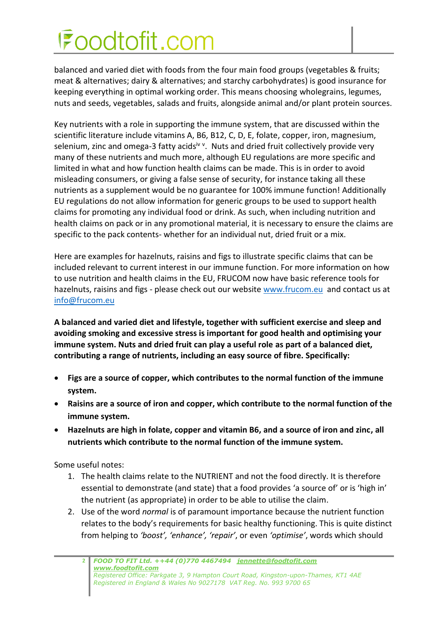# Foodtofit.com

balanced and varied diet with foods from the four main food groups (vegetables & fruits; meat & alternatives; dairy & alternatives; and starchy carbohydrates) is good insurance for keeping everything in optimal working order. This means choosing wholegrains, legumes, nuts and seeds, vegetables, salads and fruits, alongside animal and/or plant protein sources.

Key nutrients with a role in supporting the immune system, that are discussed within the scientific literature include vitamins A, B6, B12, C, D, E, folate, copper, iron, magnesium, selenium, zinc and omega-3 fatty acids<sup>iv v</sup>. Nuts and dried fruit collectively provide very many of these nutrients and much more, although EU regulations are more specific and limited in what and how function health claims can be made. This is in order to avoid misleading consumers, or giving a false sense of security, for instance taking all these nutrients as a supplement would be no guarantee for 100% immune function! Additionally EU regulations do not allow information for generic groups to be used to support health claims for promoting any individual food or drink. As such, when including nutrition and health claims on pack or in any promotional material, it is necessary to ensure the claims are specific to the pack contents- whether for an individual nut, dried fruit or a mix.

Here are examples for hazelnuts, raisins and figs to illustrate specific claims that can be included relevant to current interest in our immune function. For more information on how to use nutrition and health claims in the EU, FRUCOM now have basic reference tools for hazelnuts, raisins and figs - please check out our website [www.frucom.eu](http://www.frucom.eu/) and contact us at [info@frucom.eu](mailto:info@frucom.eu)

**A balanced and varied diet and lifestyle, together with sufficient exercise and sleep and avoiding smoking and excessive stress is important for good health and optimising your immune system. Nuts and dried fruit can play a useful role as part of a balanced diet, contributing a range of nutrients, including an easy source of fibre. Specifically:**

- **Figs are a source of copper, which contributes to the normal function of the immune system.**
- **Raisins are a source of iron and copper, which contribute to the normal function of the immune system.**
- **Hazelnuts are high in folate, copper and vitamin B6, and a source of iron and zinc, all nutrients which contribute to the normal function of the immune system.**

Some useful notes:

- 1. The health claims relate to the NUTRIENT and not the food directly. It is therefore essential to demonstrate (and state) that a food provides 'a source of' or is 'high in' the nutrient (as appropriate) in order to be able to utilise the claim.
- 2. Use of the word *normal* is of paramount importance because the nutrient function relates to the body's requirements for basic healthy functioning. This is quite distinct from helping to *'boost', 'enhance', 'repair'*, or even *'optimise'*, words which should